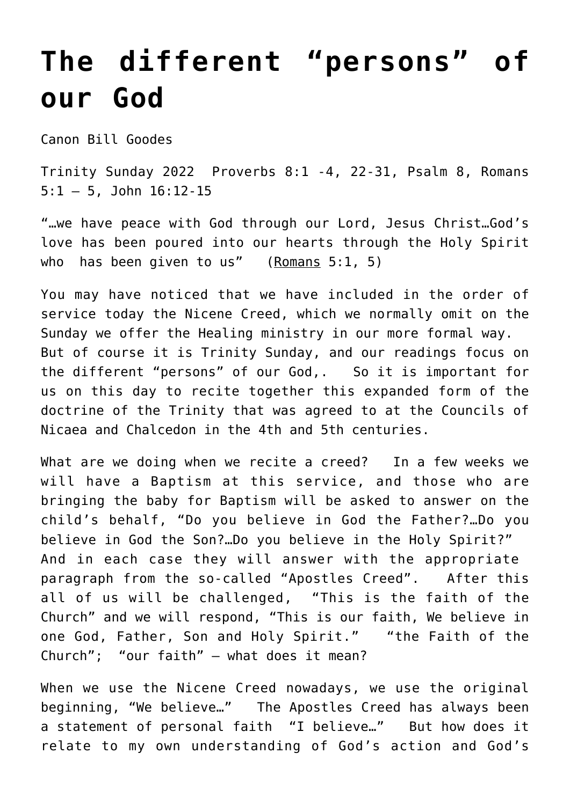## **[The different "persons" of](https://stjohnsadelaide.org.au/the-different-persons-of-our-god/) [our God](https://stjohnsadelaide.org.au/the-different-persons-of-our-god/)**

Canon Bill Goodes

Trinity Sunday 2022 Proverbs 8:1 -4, 22-31, Psalm 8, Romans 5:1 – 5, John 16:12-15

"…we have peace with God through our Lord, Jesus Christ…God's love has been poured into our hearts through the Holy Spirit who has been given to us"  $(Romans 5:1, 5)$ 

You may have noticed that we have included in the order of service today the Nicene Creed, which we normally omit on the Sunday we offer the Healing ministry in our more formal way. But of course it is Trinity Sunday, and our readings focus on the different "persons" of our God,. So it is important for us on this day to recite together this expanded form of the doctrine of the Trinity that was agreed to at the Councils of Nicaea and Chalcedon in the 4th and 5th centuries.

What are we doing when we recite a creed? In a few weeks we will have a Baptism at this service, and those who are bringing the baby for Baptism will be asked to answer on the child's behalf, "Do you believe in God the Father?…Do you believe in God the Son?…Do you believe in the Holy Spirit?" And in each case they will answer with the appropriate paragraph from the so-called "Apostles Creed". After this all of us will be challenged, "This is the faith of the Church" and we will respond, "This is our faith, We believe in one God, Father, Son and Holy Spirit." "the Faith of the Church"; "our faith" — what does it mean?

When we use the Nicene Creed nowadays, we use the original beginning, "We believe…" The Apostles Creed has always been a statement of personal faith "I believe…" But how does it relate to my own understanding of God's action and God's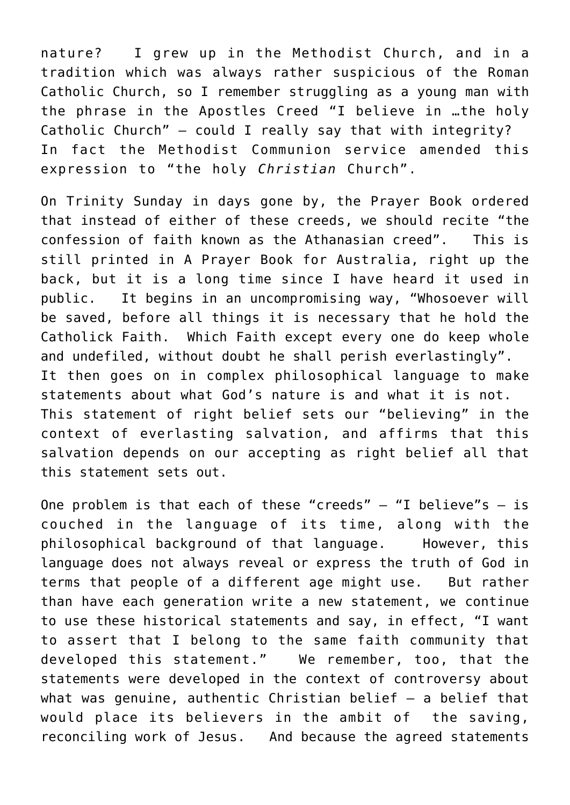nature? I grew up in the Methodist Church, and in a tradition which was always rather suspicious of the Roman Catholic Church, so I remember struggling as a young man with the phrase in the Apostles Creed "I believe in …the holy Catholic Church" — could I really say that with integrity? In fact the Methodist Communion service amended this expression to "the holy *Christian* Church".

On Trinity Sunday in days gone by, the Prayer Book ordered that instead of either of these creeds, we should recite "the confession of faith known as the Athanasian creed". This is still printed in A Prayer Book for Australia, right up the back, but it is a long time since I have heard it used in public. It begins in an uncompromising way, "Whosoever will be saved, before all things it is necessary that he hold the Catholick Faith. Which Faith except every one do keep whole and undefiled, without doubt he shall perish everlastingly". It then goes on in complex philosophical language to make statements about what God's nature is and what it is not. This statement of right belief sets our "believing" in the context of everlasting salvation, and affirms that this salvation depends on our accepting as right belief all that this statement sets out.

One problem is that each of these "creeds"  $-$  "I believe"s  $-$  is couched in the language of its time, along with the philosophical background of that language. However, this language does not always reveal or express the truth of God in terms that people of a different age might use. But rather than have each generation write a new statement, we continue to use these historical statements and say, in effect, "I want to assert that I belong to the same faith community that developed this statement." We remember, too, that the statements were developed in the context of controversy about what was genuine, authentic Christian belief  $-$  a belief that would place its believers in the ambit of the saving, reconciling work of Jesus. And because the agreed statements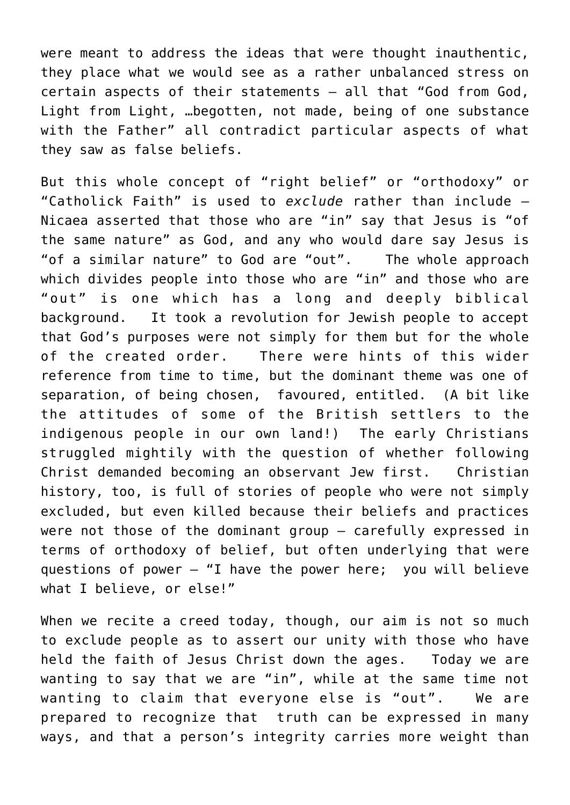were meant to address the ideas that were thought inauthentic, they place what we would see as a rather unbalanced stress on certain aspects of their statements — all that "God from God, Light from Light, …begotten, not made, being of one substance with the Father" all contradict particular aspects of what they saw as false beliefs.

But this whole concept of "right belief" or "orthodoxy" or "Catholick Faith" is used to *exclude* rather than include — Nicaea asserted that those who are "in" say that Jesus is "of the same nature" as God, and any who would dare say Jesus is "of a similar nature" to God are "out". The whole approach which divides people into those who are "in" and those who are "out" is one which has a long and deeply biblical background. It took a revolution for Jewish people to accept that God's purposes were not simply for them but for the whole of the created order. There were hints of this wider reference from time to time, but the dominant theme was one of separation, of being chosen, favoured, entitled. (A bit like the attitudes of some of the British settlers to the indigenous people in our own land!) The early Christians struggled mightily with the question of whether following Christ demanded becoming an observant Jew first. Christian history, too, is full of stories of people who were not simply excluded, but even killed because their beliefs and practices were not those of the dominant group — carefully expressed in terms of orthodoxy of belief, but often underlying that were questions of power — "I have the power here; you will believe what I believe, or else!"

When we recite a creed today, though, our aim is not so much to exclude people as to assert our unity with those who have held the faith of Jesus Christ down the ages. Today we are wanting to say that we are "in", while at the same time not wanting to claim that everyone else is "out". We are prepared to recognize that truth can be expressed in many ways, and that a person's integrity carries more weight than